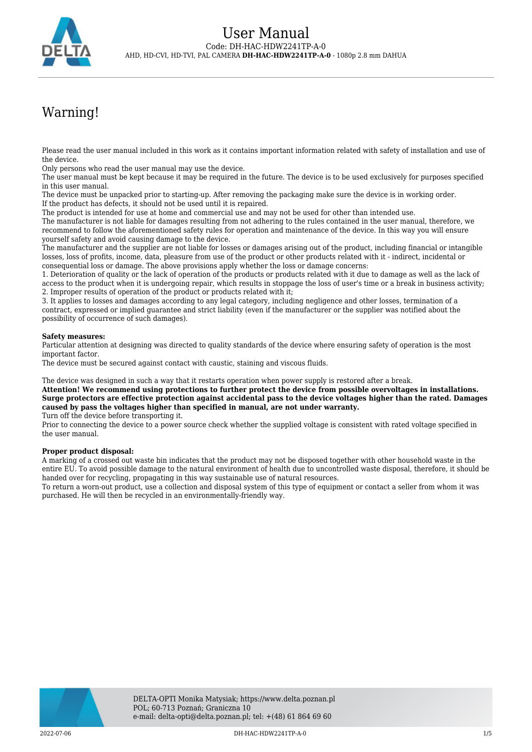

# Warning!

Please read the user manual included in this work as it contains important information related with safety of installation and use of the device.

Only persons who read the user manual may use the device.

The user manual must be kept because it may be required in the future. The device is to be used exclusively for purposes specified in this user manual.

The device must be unpacked prior to starting-up. After removing the packaging make sure the device is in working order. If the product has defects, it should not be used until it is repaired.

The product is intended for use at home and commercial use and may not be used for other than intended use.

The manufacturer is not liable for damages resulting from not adhering to the rules contained in the user manual, therefore, we recommend to follow the aforementioned safety rules for operation and maintenance of the device. In this way you will ensure yourself safety and avoid causing damage to the device.

The manufacturer and the supplier are not liable for losses or damages arising out of the product, including financial or intangible losses, loss of profits, income, data, pleasure from use of the product or other products related with it - indirect, incidental or consequential loss or damage. The above provisions apply whether the loss or damage concerns:

1. Deterioration of quality or the lack of operation of the products or products related with it due to damage as well as the lack of access to the product when it is undergoing repair, which results in stoppage the loss of user's time or a break in business activity; 2. Improper results of operation of the product or products related with it;

3. It applies to losses and damages according to any legal category, including negligence and other losses, termination of a contract, expressed or implied guarantee and strict liability (even if the manufacturer or the supplier was notified about the possibility of occurrence of such damages).

### **Safety measures:**

Particular attention at designing was directed to quality standards of the device where ensuring safety of operation is the most important factor.

The device must be secured against contact with caustic, staining and viscous fluids.

The device was designed in such a way that it restarts operation when power supply is restored after a break.

**Attention! We recommend using protections to further protect the device from possible overvoltages in installations. Surge protectors are effective protection against accidental pass to the device voltages higher than the rated. Damages caused by pass the voltages higher than specified in manual, are not under warranty.** Turn off the device before transporting it.

Prior to connecting the device to a power source check whether the supplied voltage is consistent with rated voltage specified in the user manual.

#### **Proper product disposal:**

A marking of a crossed out waste bin indicates that the product may not be disposed together with other household waste in the entire EU. To avoid possible damage to the natural environment of health due to uncontrolled waste disposal, therefore, it should be handed over for recycling, propagating in this way sustainable use of natural resources.

To return a worn-out product, use a collection and disposal system of this type of equipment or contact a seller from whom it was purchased. He will then be recycled in an environmentally-friendly way.

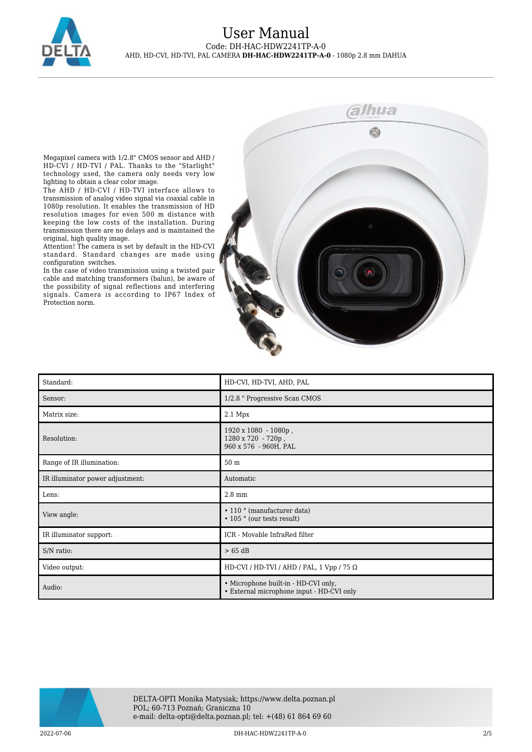

## User Manual Code: DH-HAC-HDW2241TP-A-0 AHD, HD-CVI, HD-TVI, PAL CAMERA **DH-HAC-HDW2241TP-A-0** - 1080p 2.8 mm DAHUA

Megapixel camera with 1/2.8" CMOS sensor and AHD / HD-CVI / HD-TVI / PAL. Thanks to the "Starlight" technology used, the camera only needs very low lighting to obtain a clear color image.

The AHD / HD-CVI / HD-TVI interface allows to transmission of analog video signal via coaxial cable in 1080p resolution. It enables the transmission of HD resolution images for even 500 m distance with keeping the low costs of the installation. During transmission there are no delays and is maintained the original, high quality image.

Attention! The camera is set by default in the HD-CVI standard. Standard changes are made using configuration switches.

In the case of video transmission using a twisted pair cable and matching transformers (balun), be aware of the possibility of signal reflections and interfering signals. Camera is according to IP67 Index of Protection norm.



| Standard:                        | HD-CVI, HD-TVI, AHD, PAL                                                          |
|----------------------------------|-----------------------------------------------------------------------------------|
| Sensor:                          | 1/2.8 " Progressive Scan CMOS                                                     |
| Matrix size:                     | $2.1$ Mpx                                                                         |
| Resolution:                      | $1920 \times 1080 - 1080p$ ,<br>1280 x 720 - 720p,<br>960 x 576 - 960H, PAL       |
| Range of IR illumination:        | 50 m                                                                              |
| IR illuminator power adjustment: | Automatic                                                                         |
| Lens:                            | $2.8\;\mathrm{mm}$                                                                |
| View angle:                      | • 110 ° (manufacturer data)<br>• 105 ° (our tests result)                         |
| IR illuminator support:          | ICR - Movable InfraRed filter                                                     |
| S/N ratio:                       | $> 65$ dB                                                                         |
| Video output:                    | HD-CVI / HD-TVI / AHD / PAL, 1 Vpp / 75 $\Omega$                                  |
| Audio:                           | • Microphone built-in - HD-CVI only,<br>• External microphone input - HD-CVI only |

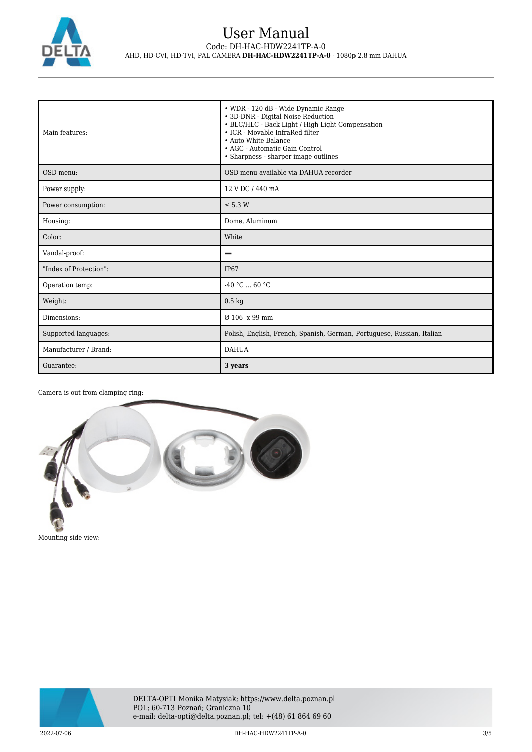

# User Manual Code: DH-HAC-HDW2241TP-A-0 AHD, HD-CVI, HD-TVI, PAL CAMERA **DH-HAC-HDW2241TP-A-0** - 1080p 2.8 mm DAHUA

| Main features:         | • WDR - 120 dB - Wide Dynamic Range<br>• 3D-DNR - Digital Noise Reduction<br>• BLC/HLC - Back Light / High Light Compensation<br>• ICR - Movable InfraRed filter<br>• Auto White Balance<br>• AGC - Automatic Gain Control<br>• Sharpness - sharper image outlines |
|------------------------|--------------------------------------------------------------------------------------------------------------------------------------------------------------------------------------------------------------------------------------------------------------------|
| OSD menu:              | OSD menu available via DAHUA recorder                                                                                                                                                                                                                              |
| Power supply:          | 12 V DC / 440 mA                                                                                                                                                                                                                                                   |
| Power consumption:     | $\leq$ 5.3 W                                                                                                                                                                                                                                                       |
| Housing:               | Dome, Aluminum                                                                                                                                                                                                                                                     |
| Color:                 | White                                                                                                                                                                                                                                                              |
| Vandal-proof:          |                                                                                                                                                                                                                                                                    |
| "Index of Protection": | <b>IP67</b>                                                                                                                                                                                                                                                        |
| Operation temp:        | $-40 °C  60 °C$                                                                                                                                                                                                                                                    |
| Weight:                | $0.5 \text{ kg}$                                                                                                                                                                                                                                                   |
| Dimensions:            | Ø 106 x 99 mm                                                                                                                                                                                                                                                      |
| Supported languages:   | Polish, English, French, Spanish, German, Portuguese, Russian, Italian                                                                                                                                                                                             |
| Manufacturer / Brand:  | <b>DAHUA</b>                                                                                                                                                                                                                                                       |
| Guarantee:             | 3 years                                                                                                                                                                                                                                                            |

Camera is out from clamping ring:



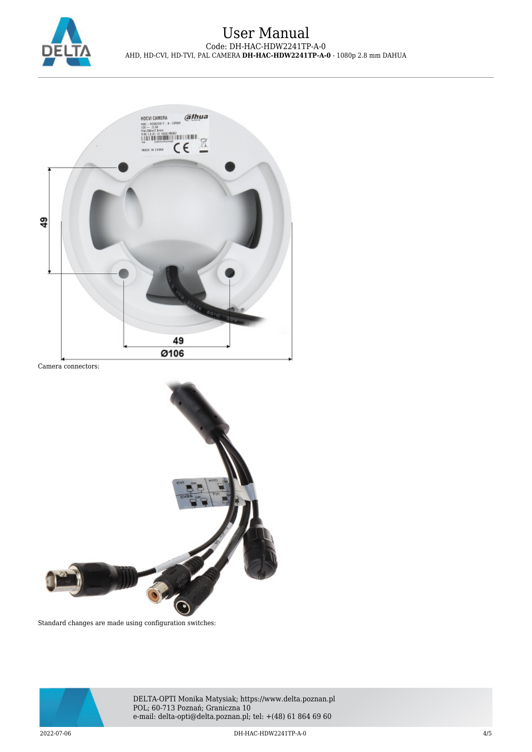

## User Manual Code: DH-HAC-HDW2241TP-A-0 AHD, HD-CVI, HD-TVI, PAL CAMERA **DH-HAC-HDW2241TP-A-0** - 1080p 2.8 mm DAHUA



Camera connectors:



Standard changes are made using configuration switches:



DELTA-OPTI Monika Matysiak; https://www.delta.poznan.pl POL; 60-713 Poznań; Graniczna 10 e-mail: delta-opti@delta.poznan.pl; tel: +(48) 61 864 69 60

2022-07-06 DH-HAC-HDW2241TP-A-0 4/5